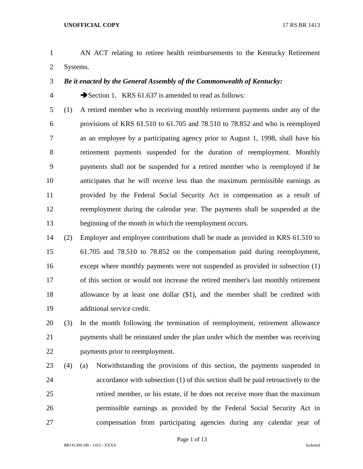- AN ACT relating to retiree health reimbursements to the Kentucky Retirement Systems.
- *Be it enacted by the General Assembly of the Commonwealth of Kentucky:*

4 Section 1. KRS 61.637 is amended to read as follows:

- (1) A retired member who is receiving monthly retirement payments under any of the provisions of KRS 61.510 to 61.705 and 78.510 to 78.852 and who is reemployed as an employee by a participating agency prior to August 1, 1998, shall have his retirement payments suspended for the duration of reemployment. Monthly payments shall not be suspended for a retired member who is reemployed if he anticipates that he will receive less than the maximum permissible earnings as provided by the Federal Social Security Act in compensation as a result of reemployment during the calendar year. The payments shall be suspended at the beginning of the month in which the reemployment occurs.
- (2) Employer and employee contributions shall be made as provided in KRS 61.510 to 61.705 and 78.510 to 78.852 on the compensation paid during reemployment, except where monthly payments were not suspended as provided in subsection (1) of this section or would not increase the retired member's last monthly retirement allowance by at least one dollar (\$1), and the member shall be credited with additional service credit.
- (3) In the month following the termination of reemployment, retirement allowance payments shall be reinstated under the plan under which the member was receiving payments prior to reemployment.
- (4) (a) Notwithstanding the provisions of this section, the payments suspended in accordance with subsection (1) of this section shall be paid retroactively to the retired member, or his estate, if he does not receive more than the maximum permissible earnings as provided by the Federal Social Security Act in compensation from participating agencies during any calendar year of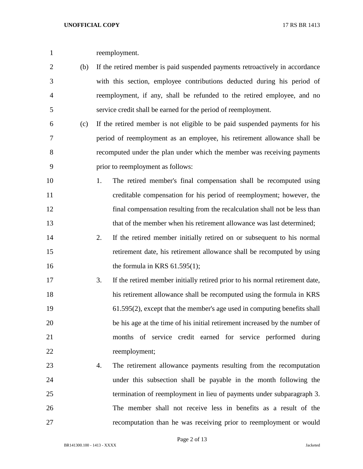reemployment.

- (b) If the retired member is paid suspended payments retroactively in accordance with this section, employee contributions deducted during his period of reemployment, if any, shall be refunded to the retired employee, and no service credit shall be earned for the period of reemployment.
- (c) If the retired member is not eligible to be paid suspended payments for his period of reemployment as an employee, his retirement allowance shall be recomputed under the plan under which the member was receiving payments prior to reemployment as follows:
- 1. The retired member's final compensation shall be recomputed using creditable compensation for his period of reemployment; however, the final compensation resulting from the recalculation shall not be less than 13 that of the member when his retirement allowance was last determined;
- 2. If the retired member initially retired on or subsequent to his normal retirement date, his retirement allowance shall be recomputed by using 16 the formula in KRS 61.595(1);
- 3. If the retired member initially retired prior to his normal retirement date, his retirement allowance shall be recomputed using the formula in KRS 61.595(2), except that the member's age used in computing benefits shall be his age at the time of his initial retirement increased by the number of months of service credit earned for service performed during reemployment;
- 4. The retirement allowance payments resulting from the recomputation under this subsection shall be payable in the month following the termination of reemployment in lieu of payments under subparagraph 3. The member shall not receive less in benefits as a result of the recomputation than he was receiving prior to reemployment or would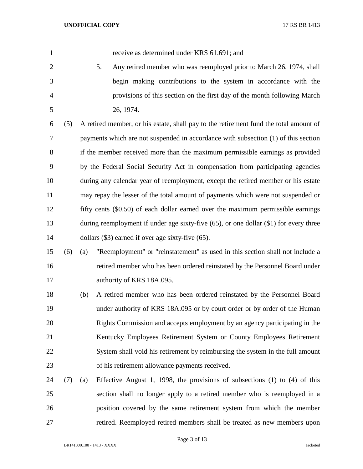receive as determined under KRS 61.691; and

 5. Any retired member who was reemployed prior to March 26, 1974, shall begin making contributions to the system in accordance with the provisions of this section on the first day of the month following March 26, 1974.

 (5) A retired member, or his estate, shall pay to the retirement fund the total amount of payments which are not suspended in accordance with subsection (1) of this section if the member received more than the maximum permissible earnings as provided by the Federal Social Security Act in compensation from participating agencies during any calendar year of reemployment, except the retired member or his estate may repay the lesser of the total amount of payments which were not suspended or fifty cents (\$0.50) of each dollar earned over the maximum permissible earnings 13 during reemployment if under age sixty-five (65), or one dollar (\$1) for every three 14 dollars (\$3) earned if over age sixty-five (65).

 (6) (a) "Reemployment" or "reinstatement" as used in this section shall not include a retired member who has been ordered reinstated by the Personnel Board under 17 authority of KRS 18A.095.

 (b) A retired member who has been ordered reinstated by the Personnel Board under authority of KRS 18A.095 or by court order or by order of the Human Rights Commission and accepts employment by an agency participating in the Kentucky Employees Retirement System or County Employees Retirement System shall void his retirement by reimbursing the system in the full amount of his retirement allowance payments received.

 (7) (a) Effective August 1, 1998, the provisions of subsections (1) to (4) of this section shall no longer apply to a retired member who is reemployed in a position covered by the same retirement system from which the member retired. Reemployed retired members shall be treated as new members upon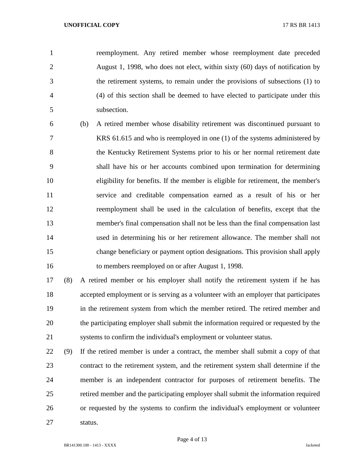reemployment. Any retired member whose reemployment date preceded August 1, 1998, who does not elect, within sixty (60) days of notification by the retirement systems, to remain under the provisions of subsections (1) to (4) of this section shall be deemed to have elected to participate under this subsection.

 (b) A retired member whose disability retirement was discontinued pursuant to KRS 61.615 and who is reemployed in one (1) of the systems administered by the Kentucky Retirement Systems prior to his or her normal retirement date shall have his or her accounts combined upon termination for determining eligibility for benefits. If the member is eligible for retirement, the member's service and creditable compensation earned as a result of his or her reemployment shall be used in the calculation of benefits, except that the member's final compensation shall not be less than the final compensation last used in determining his or her retirement allowance. The member shall not change beneficiary or payment option designations. This provision shall apply to members reemployed on or after August 1, 1998.

 (8) A retired member or his employer shall notify the retirement system if he has accepted employment or is serving as a volunteer with an employer that participates in the retirement system from which the member retired. The retired member and the participating employer shall submit the information required or requested by the systems to confirm the individual's employment or volunteer status.

 (9) If the retired member is under a contract, the member shall submit a copy of that contract to the retirement system, and the retirement system shall determine if the member is an independent contractor for purposes of retirement benefits. The retired member and the participating employer shall submit the information required or requested by the systems to confirm the individual's employment or volunteer status.

Page 4 of 13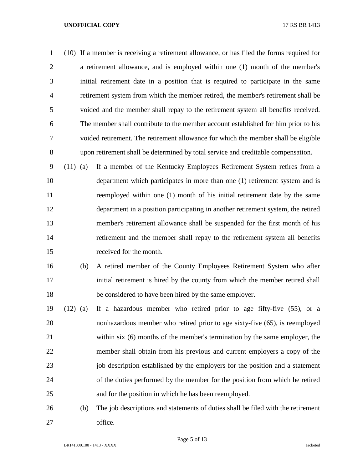(10) If a member is receiving a retirement allowance, or has filed the forms required for a retirement allowance, and is employed within one (1) month of the member's initial retirement date in a position that is required to participate in the same retirement system from which the member retired, the member's retirement shall be voided and the member shall repay to the retirement system all benefits received. The member shall contribute to the member account established for him prior to his voided retirement. The retirement allowance for which the member shall be eligible upon retirement shall be determined by total service and creditable compensation.

 (11) (a) If a member of the Kentucky Employees Retirement System retires from a department which participates in more than one (1) retirement system and is reemployed within one (1) month of his initial retirement date by the same department in a position participating in another retirement system, the retired member's retirement allowance shall be suspended for the first month of his retirement and the member shall repay to the retirement system all benefits received for the month.

- (b) A retired member of the County Employees Retirement System who after initial retirement is hired by the county from which the member retired shall be considered to have been hired by the same employer.
- (12) (a) If a hazardous member who retired prior to age fifty-five (55), or a nonhazardous member who retired prior to age sixty-five (65), is reemployed within six (6) months of the member's termination by the same employer, the member shall obtain from his previous and current employers a copy of the 23 iob description established by the employers for the position and a statement of the duties performed by the member for the position from which he retired and for the position in which he has been reemployed.
- (b) The job descriptions and statements of duties shall be filed with the retirement office.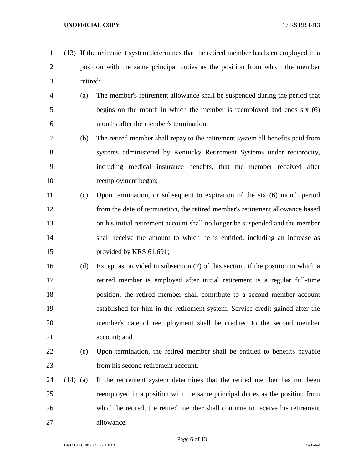- (13) If the retirement system determines that the retired member has been employed in a position with the same principal duties as the position from which the member retired:
- (a) The member's retirement allowance shall be suspended during the period that begins on the month in which the member is reemployed and ends six (6) months after the member's termination;
- (b) The retired member shall repay to the retirement system all benefits paid from systems administered by Kentucky Retirement Systems under reciprocity, including medical insurance benefits, that the member received after reemployment began;
- (c) Upon termination, or subsequent to expiration of the six (6) month period from the date of termination, the retired member's retirement allowance based on his initial retirement account shall no longer be suspended and the member shall receive the amount to which he is entitled, including an increase as provided by KRS 61.691;
- (d) Except as provided in subsection (7) of this section, if the position in which a retired member is employed after initial retirement is a regular full-time position, the retired member shall contribute to a second member account established for him in the retirement system. Service credit gained after the member's date of reemployment shall be credited to the second member account; and
- (e) Upon termination, the retired member shall be entitled to benefits payable from his second retirement account.
- (14) (a) If the retirement system determines that the retired member has not been reemployed in a position with the same principal duties as the position from which he retired, the retired member shall continue to receive his retirement allowance.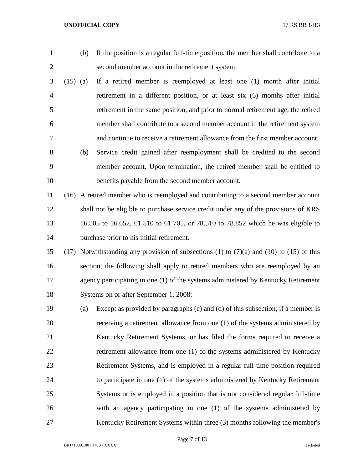- 
- (b) If the position is a regular full-time position, the member shall contribute to a second member account in the retirement system.
- (15) (a) If a retired member is reemployed at least one (1) month after initial retirement in a different position, or at least six (6) months after initial retirement in the same position, and prior to normal retirement age, the retired member shall contribute to a second member account in the retirement system and continue to receive a retirement allowance from the first member account. (b) Service credit gained after reemployment shall be credited to the second member account. Upon termination, the retired member shall be entitled to benefits payable from the second member account.
- (16) A retired member who is reemployed and contributing to a second member account shall not be eligible to purchase service credit under any of the provisions of KRS 16.505 to 16.652, 61.510 to 61.705, or 78.510 to 78.852 which he was eligible to purchase prior to his initial retirement.
- (17) Notwithstanding any provision of subsections (1) to (7)(a) and (10) to (15) of this section, the following shall apply to retired members who are reemployed by an agency participating in one (1) of the systems administered by Kentucky Retirement Systems on or after September 1, 2008:
- (a) Except as provided by paragraphs (c) and (d) of this subsection, if a member is receiving a retirement allowance from one (1) of the systems administered by Kentucky Retirement Systems, or has filed the forms required to receive a retirement allowance from one (1) of the systems administered by Kentucky Retirement Systems, and is employed in a regular full-time position required to participate in one (1) of the systems administered by Kentucky Retirement Systems or is employed in a position that is not considered regular full-time with an agency participating in one (1) of the systems administered by Kentucky Retirement Systems within three (3) months following the member's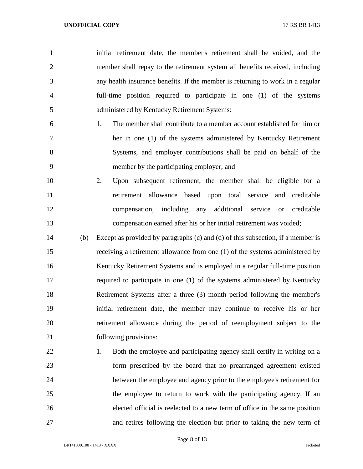initial retirement date, the member's retirement shall be voided, and the member shall repay to the retirement system all benefits received, including any health insurance benefits. If the member is returning to work in a regular full-time position required to participate in one (1) of the systems administered by Kentucky Retirement Systems:

- 1. The member shall contribute to a member account established for him or her in one (1) of the systems administered by Kentucky Retirement Systems, and employer contributions shall be paid on behalf of the member by the participating employer; and
- 2. Upon subsequent retirement, the member shall be eligible for a retirement allowance based upon total service and creditable compensation, including any additional service or creditable compensation earned after his or her initial retirement was voided;
- (b) Except as provided by paragraphs (c) and (d) of this subsection, if a member is receiving a retirement allowance from one (1) of the systems administered by Kentucky Retirement Systems and is employed in a regular full-time position required to participate in one (1) of the systems administered by Kentucky Retirement Systems after a three (3) month period following the member's initial retirement date, the member may continue to receive his or her retirement allowance during the period of reemployment subject to the following provisions:
- 22 1. Both the employee and participating agency shall certify in writing on a form prescribed by the board that no prearranged agreement existed between the employee and agency prior to the employee's retirement for the employee to return to work with the participating agency. If an elected official is reelected to a new term of office in the same position and retires following the election but prior to taking the new term of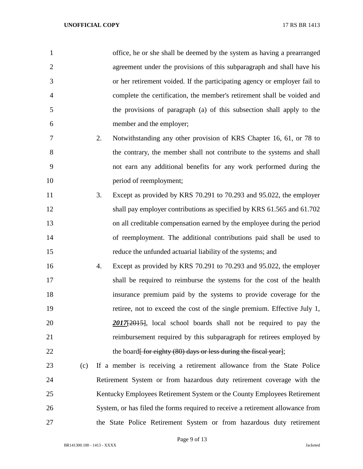| $\mathbf{1}$   |     |    | office, he or she shall be deemed by the system as having a prearranged                                    |
|----------------|-----|----|------------------------------------------------------------------------------------------------------------|
| $\overline{2}$ |     |    | agreement under the provisions of this subparagraph and shall have his                                     |
| 3              |     |    | or her retirement voided. If the participating agency or employer fail to                                  |
| $\overline{4}$ |     |    | complete the certification, the member's retirement shall be voided and                                    |
| 5              |     |    | the provisions of paragraph (a) of this subsection shall apply to the                                      |
| 6              |     |    | member and the employer;                                                                                   |
| 7              |     | 2. | Notwithstanding any other provision of KRS Chapter 16, 61, or 78 to                                        |
| 8              |     |    | the contrary, the member shall not contribute to the systems and shall                                     |
| 9              |     |    | not earn any additional benefits for any work performed during the                                         |
| 10             |     |    | period of reemployment;                                                                                    |
| 11             |     | 3. | Except as provided by KRS 70.291 to 70.293 and 95.022, the employer                                        |
| 12             |     |    | shall pay employer contributions as specified by KRS 61.565 and 61.702                                     |
| 13             |     |    | on all creditable compensation earned by the employee during the period                                    |
| 14             |     |    | of reemployment. The additional contributions paid shall be used to                                        |
| 15             |     |    | reduce the unfunded actuarial liability of the systems; and                                                |
| 16             |     | 4. | Except as provided by KRS 70.291 to 70.293 and 95.022, the employer                                        |
| 17             |     |    | shall be required to reimburse the systems for the cost of the health                                      |
| 18             |     |    | insurance premium paid by the systems to provide coverage for the                                          |
| 19             |     |    | retiree, not to exceed the cost of the single premium. Effective July 1,                                   |
| 20             |     |    | 2017 <sup>-1</sup> / <sub>12015</sub> <sup>-1</sup> , local school boards shall not be required to pay the |
| 21             |     |    | reimbursement required by this subparagraph for retirees employed by                                       |
| 22             |     |    | the board for eighty (80) days or less during the fiscal year];                                            |
| 23             | (c) |    | If a member is receiving a retirement allowance from the State Police                                      |
| 24             |     |    | Retirement System or from hazardous duty retirement coverage with the                                      |
| 25             |     |    | Kentucky Employees Retirement System or the County Employees Retirement                                    |
| 26             |     |    | System, or has filed the forms required to receive a retirement allowance from                             |

the State Police Retirement System or from hazardous duty retirement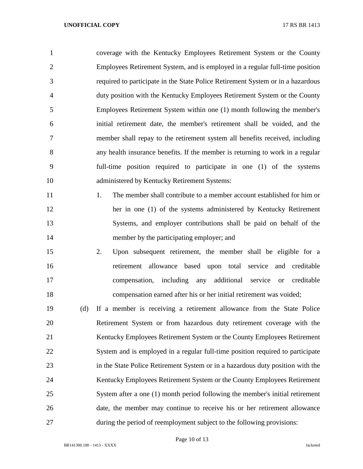coverage with the Kentucky Employees Retirement System or the County Employees Retirement System, and is employed in a regular full-time position required to participate in the State Police Retirement System or in a hazardous duty position with the Kentucky Employees Retirement System or the County Employees Retirement System within one (1) month following the member's initial retirement date, the member's retirement shall be voided, and the member shall repay to the retirement system all benefits received, including any health insurance benefits. If the member is returning to work in a regular full-time position required to participate in one (1) of the systems administered by Kentucky Retirement Systems:

- 11 1. The member shall contribute to a member account established for him or her in one (1) of the systems administered by Kentucky Retirement Systems, and employer contributions shall be paid on behalf of the 14 member by the participating employer; and
- 2. Upon subsequent retirement, the member shall be eligible for a retirement allowance based upon total service and creditable compensation, including any additional service or creditable compensation earned after his or her initial retirement was voided;

 (d) If a member is receiving a retirement allowance from the State Police Retirement System or from hazardous duty retirement coverage with the Kentucky Employees Retirement System or the County Employees Retirement System and is employed in a regular full-time position required to participate in the State Police Retirement System or in a hazardous duty position with the Kentucky Employees Retirement System or the County Employees Retirement System after a one (1) month period following the member's initial retirement date, the member may continue to receive his or her retirement allowance during the period of reemployment subject to the following provisions: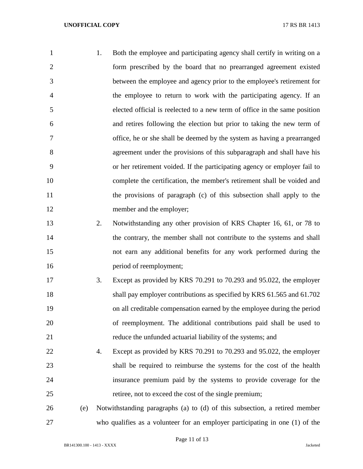| 1              | 1. | Both the employee and participating agency shall certify in writing on a   |
|----------------|----|----------------------------------------------------------------------------|
| 2              |    | form prescribed by the board that no prearranged agreement existed         |
| 3              |    | between the employee and agency prior to the employee's retirement for     |
| $\overline{4}$ |    | the employee to return to work with the participating agency. If an        |
| 5              |    | elected official is reelected to a new term of office in the same position |
| 6              |    | and retires following the election but prior to taking the new term of     |
| 7              |    | office, he or she shall be deemed by the system as having a prearranged    |
| 8              |    | agreement under the provisions of this subparagraph and shall have his     |
| 9              |    | or her retirement voided. If the participating agency or employer fail to  |
| 10             |    | complete the certification, the member's retirement shall be voided and    |
| 11             |    | the provisions of paragraph (c) of this subsection shall apply to the      |
| 12             |    | member and the employer;                                                   |

 2. Notwithstanding any other provision of KRS Chapter 16, 61, or 78 to 14 the contrary, the member shall not contribute to the systems and shall not earn any additional benefits for any work performed during the 16 period of reemployment;

- 3. Except as provided by KRS 70.291 to 70.293 and 95.022, the employer 18 shall pay employer contributions as specified by KRS 61.565 and 61.702 on all creditable compensation earned by the employee during the period of reemployment. The additional contributions paid shall be used to reduce the unfunded actuarial liability of the systems; and
- 4. Except as provided by KRS 70.291 to 70.293 and 95.022, the employer shall be required to reimburse the systems for the cost of the health insurance premium paid by the systems to provide coverage for the retiree, not to exceed the cost of the single premium;

 (e) Notwithstanding paragraphs (a) to (d) of this subsection, a retired member who qualifies as a volunteer for an employer participating in one (1) of the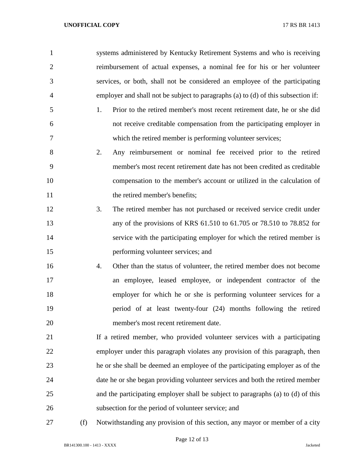- systems administered by Kentucky Retirement Systems and who is receiving reimbursement of actual expenses, a nominal fee for his or her volunteer services, or both, shall not be considered an employee of the participating employer and shall not be subject to paragraphs (a) to (d) of this subsection if: 1. Prior to the retired member's most recent retirement date, he or she did not receive creditable compensation from the participating employer in which the retired member is performing volunteer services; 2. Any reimbursement or nominal fee received prior to the retired member's most recent retirement date has not been credited as creditable compensation to the member's account or utilized in the calculation of 11 the retired member's benefits; 3. The retired member has not purchased or received service credit under any of the provisions of KRS 61.510 to 61.705 or 78.510 to 78.852 for service with the participating employer for which the retired member is performing volunteer services; and 4. Other than the status of volunteer, the retired member does not become an employee, leased employee, or independent contractor of the
- employer for which he or she is performing volunteer services for a period of at least twenty-four (24) months following the retired member's most recent retirement date.
- If a retired member, who provided volunteer services with a participating employer under this paragraph violates any provision of this paragraph, then he or she shall be deemed an employee of the participating employer as of the date he or she began providing volunteer services and both the retired member and the participating employer shall be subject to paragraphs (a) to (d) of this subsection for the period of volunteer service; and
- 

(f) Notwithstanding any provision of this section, any mayor or member of a city